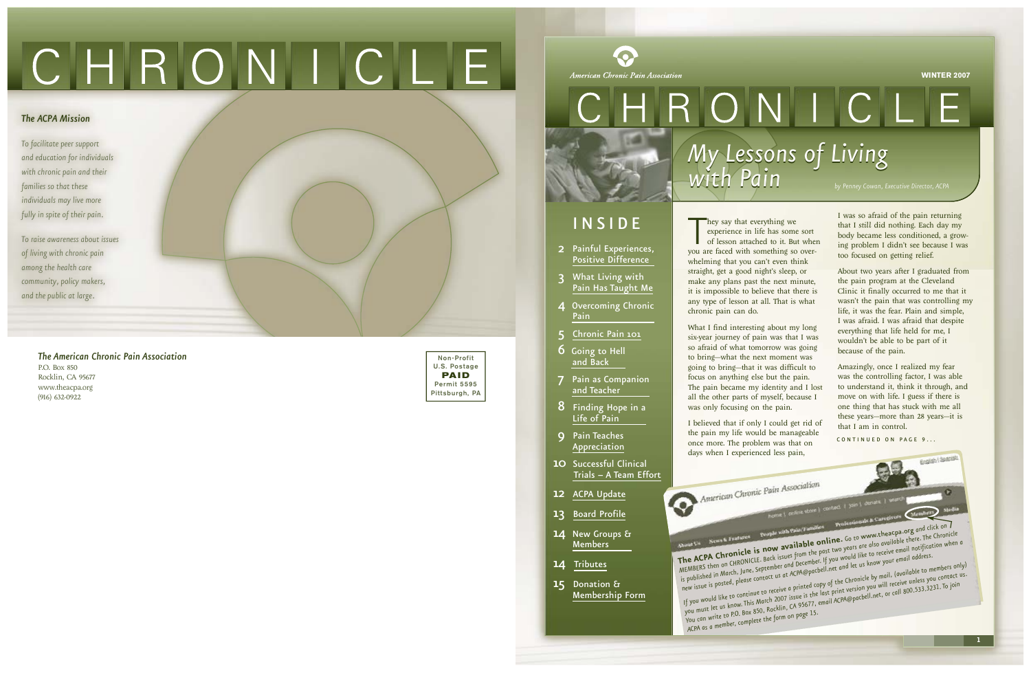hey say that everything we<br>
experience in life has some sort<br>
of lesson attached to it. But whe<br>
you are faced with something so overhey say that everything we experience in life has some sort of lesson attached to it. But when whelming that you can't even think straight, get a good night's sleep, or make any plans past the next minute, it is impossible to believe that there is any type of lesson at all. That is what chronic pain can do.

What I find interesting about my long six-year journey of pain was that I was so afraid of what tomorrow was going to bring—what the next moment was going to bring—that it was difficult to focus on anything else but the pain. The pain became my identity and I lost all the other parts of myself, because I was only focusing on the pain.

I believed that if only I could get rid of the pain my life would be manageable once more. The problem was that on days when I experienced less pain,

American Chronic Pain Association

I was so afraid of the pain returning that I *still* did nothing. Each day my body became less conditioned, a grow ing problem I didn't see because I was too focused on getting relief.

About two years after I graduated from the pain program at the Cleveland Clinic it finally occurred to me that it wasn't the pain that was controlling my life, it was the fear. Plain and simple, I was afraid. I was afraid that despite everything that life held for me, I wouldn't be able to be part of it because of the pain.

Amazingly, once I realized my fear was the controlling factor, I was able to understand it, think it through, and move on with life. I guess if there is one thing that has stuck with me all these years—more than 28 years—it is that I am in control.

English | Spanish

CONTINUED ON PAGE 9...

home | online store | contact | join | donate | se

**is now available online.** Go to www.theacpa.org and<br>**is now available online.** Go to www.theacpa.org and<br>**is now available online.** Go to was are also available there. The *click on two years are also available there. The Chronicle*  **and blue State**<br> **a** from the past two years are also avanced in notification<br>
and December. If you would like to receive email address. *email when a*

*The American Chronic Pain Association* P.O. Box 85 0 Rocklin, CA 95677 www.theacpa.org (916) 632-0922





# <span id="page-0-0"></span>CHRONICLE

#### *The ACPA Mission*

*To facilitate peer support and education for individuals with chronic pain and their families so that these individuals may live more fully in spite of their pain.*

*To raise awareness about issues of living with chronic pain among the health care community, policy makers, and the public at large.*

**WINTER 2007**



# I N S I D E

- 2 [Painful Experiences,](#page-1-0) Positive Difference
- 3 [What Living with](#page-1-0)  Pain Has Taught Me
- 4 Overcoming Chronic Pain
- 5 [Chronic Pain 101](#page-2-0)<br>6 Going to Hell
- and Back
- 7 [Pain as Companion](#page-3-0) and Teacher
- 8 [Finding Hope in a](#page-4-0)  Life of Pain
- 9 Pain Teaches [Appreciation](#page-4-0)
- **10** Successful Clinical<br>[Trials A Team Effort](#page-5-0)
- 12 ACPA [Update](#page-6-0)
- 13 [Board Profile](#page-6-0)
- 14 [New Groups](#page-6-0) & Members
- 14 [Tributes](#page-7-0)
- 15 Donation & [Membership Form](#page-7-0)

**The AC PA Chronicle**  *M EM BERS*  **A Chronicle is now a** *c* from the past <br>then on CHRONICLE. Back issues from the past<br>contember and December 1.11 n is published in Marcu, Jane, contact us<br>now issue is posted, please contact us *in M arch, June, September new* issue is posted, proceed to receive a printed copy of the call part of the receiver a print version you will receive and become bell.net and let us know if the seminary of the members of  $\alpha$  and  $\alpha$  and  $\alpha$  and  $\alpha$  and  $\alpha$ *let us know your email address. copy of the Chronicle by mail, only)* mail, lavanument<br>will receive unless you contact us.<br>and in the same and in join a printed copy of the cine-<br>issue is the last print version you will receive allised in To join<br>CA 95677, email ACPA@pacbell.net, or call 800.533.3231.To join *To*

*If you would like to continue you* must let us know. ...<br>*you* must let us RO. Box 850, Rocklin, CA 950111 *ld like to continue to lective*<br>*let us know.* This March 2007 issue is the<br>let us know. This March 2007 issue is the *You can write ACPA as a m em ber, complete the form page*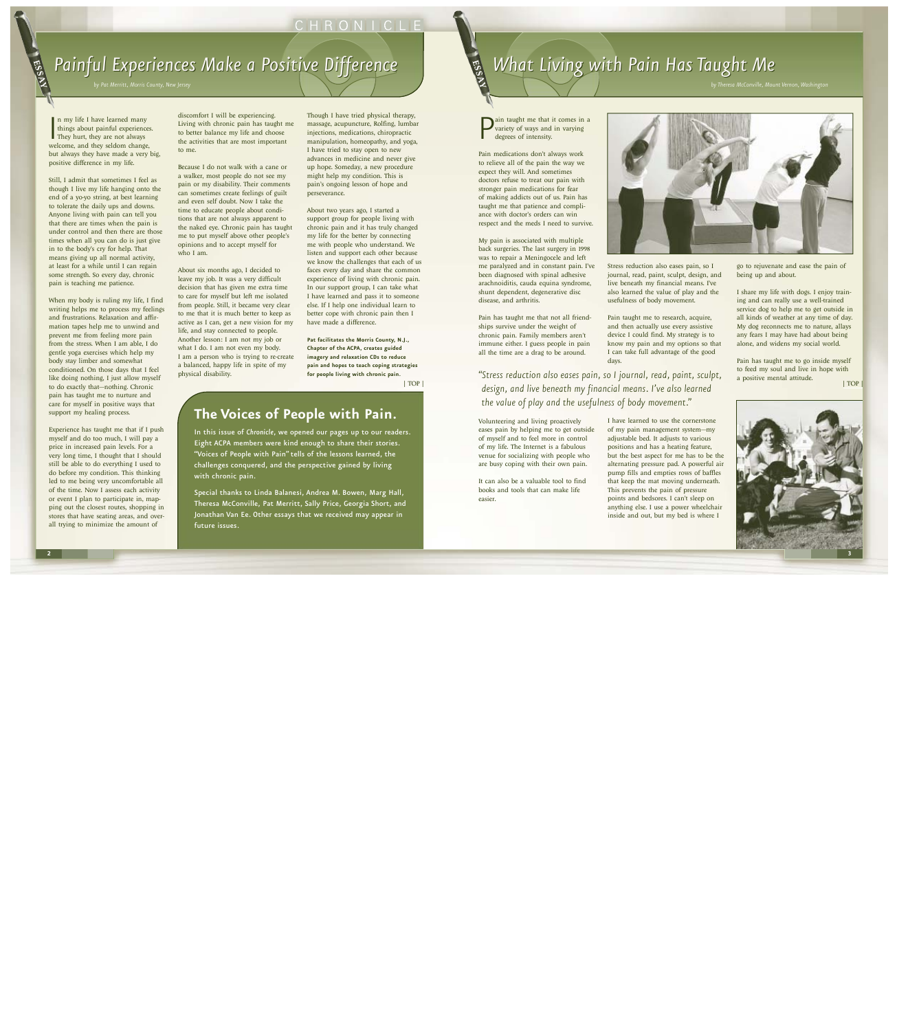# CHRONICLE

# Painful Experiences Make a Positive Difference

In my life I have learned many<br>things about painful experiences<br>They hurt, they are not always<br>welcome, and they seldom change, n my life I have learned many things about painful experiences. They hurt, they are not always but always they have made a very big, positive difference in my life.

<span id="page-1-0"></span>ESSEX

Still, I admit that sometimes I feel as though I live my life hanging onto the end of a yo-yo string, at best learning to tolerate the daily ups and downs. Anyone living with pain can tell you that there are times when the pain is under control and then there are those times when all you can do is just give in to the body's cry for help. That means giving up all normal activity, at least for a while until I can regain some strength. So every day, chronic pain is teaching me patience.

When my body is ruling my life, I find writing helps me to process my feelings and frustrations. Relaxation and affir mation tapes help me to unwind and prevent me from feeling more pain from the stress. When I am able, I do gentle yoga exercises which help my body stay limber and somewhat conditioned. On those days that I feel like doing nothing, I just allow myself to do exactly that—nothing. Chronic pain has taught me to nurture and care for myself in positive ways that support my healing process.

Experience has taught me that if I push myself and do too much, I will pay a price in increased pain levels. For a very long time, I thought that I should still be able to do everything I used to do before my condition. This thinkin g led to me being very uncomfortable all of the time. Now I assess each activity or event I plan to participate in, mapping out the closest routes, shopping in stores that have seating areas, and over all trying to minimize the amount of

discomfort I will be experiencing. Living with chronic pain has taught me to better balance my life and choose the activities that are most important to me.

**P**<br>ain taught me that it comes in a<br>degrees of intensity.<br> variety of ways and in varying degrees of intensity.

Because I do not walk with a cane or a walker, most people do not see my pain or my disability. Their comments can sometimes create feelings of guilt and even self doubt. Now I take the time to educate people about condi tions that are not always apparent to the naked eye. Chronic pain has taught me to put myself above other people' s opinions and to accept myself for who I am.

About six months ago, I decided to leave my job. It was a very difficult decision that has given me extra tim e to care for myself but left me isolated from people. Still, it became very clear to me that it is much better to keep as active as I can, get a new vision for my life, and stay connected to people. Another lesson: I am not my job or what I do. I am not even my body. I am a person who is trying to re-create a balanced, happy life in spite of my physical disability.

Though I have tried physical therapy, massage, acupuncture, Rolfing, lumbar injections, medications, chiropractic manipulation, homeopathy, and yoga, I have tried to stay open to new advances in medicine and never give up hope. Someday, a new procedure might help my condition. This is pain's ongoing lesson of hope and perseverance.

About two years ago, I started a support group for people living with chronic pain and it has truly changed my life for the better by connecting me with people who understand. We listen and support each other because we know the challenges that each of us faces every day and share the commo n experience of living with chronic pain . In our support group, I can take what I have learned and pass it to someone else. If I help one individual learn t o better cope with chronic pain then I have made a difference.

# *What Living with Pain Has Taught Me* ESSEX

**Pat facilitates the Morris County, N.J. , Chapter of the ACPA, creates guided imagery and relaxation CDs to reduce pain and hopes to teach coping strategies for people living with chronic pain.**

Pain medications don't always work to relieve all of the pain the way we expect they will. And sometimes doctors refuse to treat our pain with stronger pain medications for fear of making addicts out of us. Pain has taught me that patience and compli ance with doctor's orders can wi n respect and the meds I need to survive.

My pain is associated with multiple back surgeries. The last surgery in 1998 was to repair a Meningocele and left me paralyzed and in constant pain. I've been diagnosed with spinal adhesive arachnoiditis, cauda equina syndrome, shunt dependent, degenerative disc disease, and arthritis.

Pain has taught me that not all friend ships survive under the weight of chronic pain. Family members aren't immune either. I guess people in pain all the time are a drag to be around.



Volunteering and living proactively eases pain by helping me to get outside of myself and to feel more in control of my life. The Internet is a fabulous venue for socializing with people who are busy coping with their own pain.

It can also be a valuable tool to find books and tools that can make life easier.

Stress reduction also eases pain, so I journal, read, paint, sculpt, design, and live beneath my financial means. I've also learned the value of play and the usefulness of body movement.

Pain taught me to research, acquire, and then actually use every assistive device I could find. My strategy is to know my pain and my options so that I can take full advantage of the good days .

I have learned to use the cornerstone of my pain management system—my adjustable bed. It adjusts to various positions and has a heating feature, but the best aspect for me has to be the alternating pressure pad. A powerful air pump fills and empties rows of baffles that keep the mat moving underneath. This prevents the pain of pressure points and bedsores. I can't sleep on anything else. I use a power wheelchair inside and out, but my bed is where I

go to rejuvenate and ease the pain of being up and about.

I share my life with dogs. I enjoy train ing and can really use a well-trained service dog to help me to get outside in all kinds of weather at any time of day. My dog reconnects me to nature, allays any fears I may have had about being alone, and widens my social world.

Pain has taught me to go inside myself to feed my soul and live in hope with a positive mental attitude.

*"Stress reduction also eases pain, so I journal, read, paint, sculpt, design, and live beneath my financial means. I've also learned* **1996 1997 1998** *the value of play and the usefulness of body movement. "*

# **The Voices of People with Pain.**

In this issue of *Chronicle*, we opened our pages up to our readers. Eight ACPA members were kind enough to share their stories. "Voices of People with Pain" tells of the lessons learned, the challenges conquered, and the perspective gained by living with chronic pain.

Special thanks to Linda Balanesi, Andrea M. Bowen, Marg Hall, Theresa McConville, Pat Merritt, Sally Price, Georgia Short, and Jonathan Van Ee. Other essays that we received may appear in future issues.

*by Theresa McConville, Mount Vernon, Washington*

[| TOP](#page-0-0) 

|

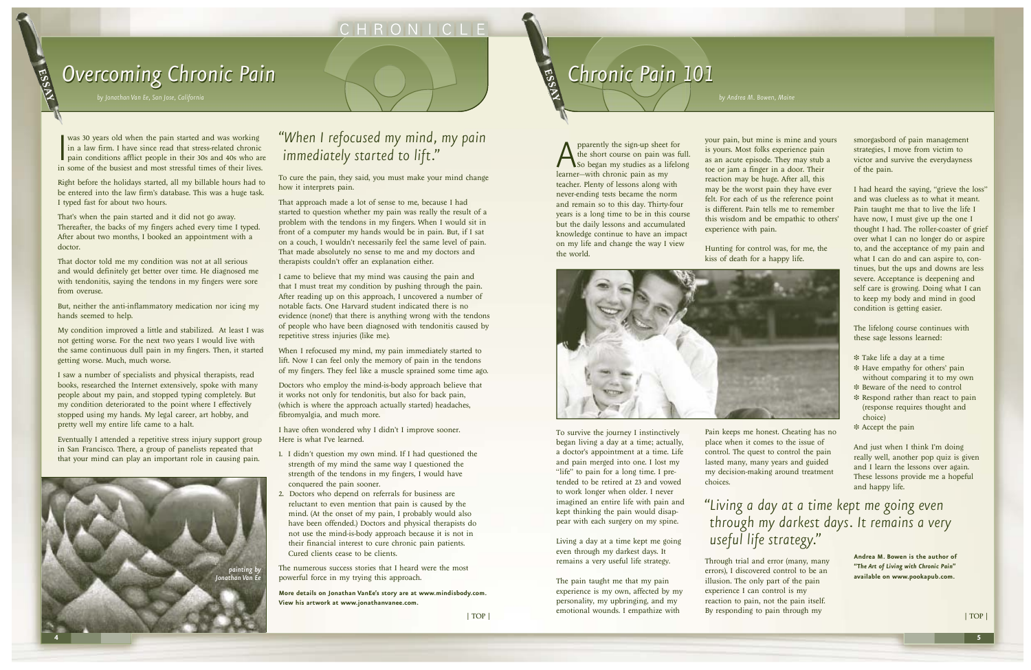## CHRONICLE

# <span id="page-2-0"></span>**Overcoming Chronic Pain** *by Jonathan Van Ee, San Jose, California* (San *Legison, California* Engineeral Scalifornia Controlled Scalifornia Controlled Scalifornia Controlled Scalifornia Controlled Scalifornia Controlled Scalifornia Controlled Sca

was 30 years old when the pain started and was working<br>in a law firm. I have since read that stress-related chronic<br>pain conditions afflict people in their 30s and 40s who ar<br>in some of the busiest and most stressful times was 30 years old when the pain started and was working in a law firm. I have since read that stress-related chronic pain conditions afflict people in their 30s and 40s who are

# *Chronic Chronic Pain 101* **by** Andrea M. Bowen, Maine **Exercise Page 10 Andrea M. Bowen**, Maine

Right before the holidays started, all my billable hours had to be entered into the law firm's database. This was a huge task. I typed fast for about two hours.

That's when the pain started and it did not go away. Thereafter, the backs of my fingers ached every time I typed. After about two months, I booked an appointment with a doctor.

That doctor told me my condition was not at all serious and would definitely get better over time. He diagnosed me with tendonitis, saying the tendons in my fingers were sore from overuse.

But, neither the anti-inflammatory medication nor icing my hands seemed to help.

My condition improved a little and stabilized. At least I was not getting worse. For the next two years I would live with the same continuous dull pain in my fingers. Then, it started getting worse. Much, much worse.

I saw a number of specialists and physical therapists, read books, researched the Internet extensively, spoke with many people about my pain, and stopped typing completely. But my condition deteriorated to the point where I effectively stopped using my hands. My legal career, art hobby, and pretty well my entire life came to a halt.

When I refocused my mind, my pain immediately started to lift. Now I can feel only the memory of pain in the tendons of my fingers. They feel like a muscle sprained some time ago.

Eventually I attended a repetitive stress injury support group in San Francisco. There, a group of panelists repeated that that your mind can play an important role in causing pain.

To cure the pain, they said, you must make your mind change how it interprets pain.

## *"When I refocused my mind, my pain immediately started to lift."*  $\sum_{\text{p^2} \text{ is a point of } n}$  and  $\sum_{\text{p^3} \text{ is a point of } n}$  and  $\sum_{\text{p^3} \text{ is a point of } n}$  and  $\sum_{\text{p^3} \text{ is a point of } n}$

That approach made a lot of sense to me, because I had started to question whether my pain was really the result of a problem with the tendons in my fingers. When I would sit in front of a computer my hands would be in pain. But, if I sat on a couch, I wouldn't necessarily feel the same level of pain. That made absolutely no sense to me and my doctors and therapists couldn't offer an explanation either.

> The pain taught me that my pain experience is my own, affected by my personality, my upbringing, and my emotional wounds. I empathize with  $|TOP|$   $|TOP|$   $|TOP|$   $|TOP|$

I came to believe that my mind was causing the pain and that I must treat my condition by pushing through the pain. After reading up on this approach, I uncovered a number of notable facts. One Harvard student indicated there is no evidence (none!) that there is anything wrong with the tendons of people who have been diagnosed with tendonitis caused by repetitive stress injuries (like me).

Doctors who employ the mind-is-body approach believe that it works not only for tendonitis, but also for back pain, (which is where the approach actually started) headaches, fibromyalgia, and much more.

I have often wondered why I didn't I improve sooner. Here is what I've learned.

- 1. I didn't question my own mind. If I had questioned the strength of my mind the same way I questioned the strength of the tendons in my fingers, I would have conquered the pain sooner.
- 2. Doctors who depend on referrals for business are reluctant to even mention that pain is caused by the mind. (At the onset of my pain, I probably would also have been offended.) Doctors and physical therapists do not use the mind-is-body approach because it is not in their financial interest to cure chronic pain patients. Cured clients cease to be clients.



The numerous success stories that I heard were the most powerful force in my trying this approach.

**More details on Jonathan VanEe's story are at www.mindisbody.com. View his artwork at www.jonathanvanee.com.**

the short course on pain was full. So began my studies as a lifelong learner—with chronic pain as my teacher. Plenty of lessons along with never-ending tests became the norm and remain so to this day. Thirty-four years is a long time to be in this course but the daily lessons and accumulated knowledge continue to have an impact on my life and change the way I view the world.

To survive the journey I instinctively began living a day at a time; actually, a doctor's appointment at a time. Life and pain merged into one. I lost my "life" to pain for a long time. I pretended to be retired at 23 and vowed to work longer when older. I never imagined an entire life with pain and kept thinking the pain would disappear with each surgery on my spine.

Living a day at a time kept me going even through my darkest days. It remains a very useful life strategy.

your pain, but mine is mine and yours is yours. Most folks experience pain as an acute episode. They may stub a toe or jam a finger in a door. Their reaction may be huge. After all, this may be the worst pain they have ever felt. For each of us the reference point is different. Pain tells me to remember this wisdom and be empathic to others' experience with pain.



Hunting for control was, for me, the kiss of death for a happy life.

Pain keeps me honest. Cheating has no place when it comes to the issue of control. The quest to control the pain lasted many, many years and guided my decision-making around treatment choices.

Through trial and error (many, many errors), I discovered control to be an illusion. The only part of the pain experience I can control is my reaction to pain, not the pain itself. By responding to pain through my

smorgasbord of pain management strategies, I move from victim to victor and survive the everydayness of the pain.

I had heard the saying, "grieve the loss" and was clueless as to what it meant. Pain taught me that to live the life I have now, I must give up the one I thought I had. The roller-coaster of grief over what I can no longer do or aspire to, and the acceptance of my pain and what I can do and can aspire to, continues, but the ups and downs are less severe. Acceptance is deepening and self care is growing. Doing what I can to keep my body and mind in good condition is getting easier.

The lifelong course continues with these sage lessons learned:

- ❉ Take life a day at a time
- ❉ Have empathy for others' pain without comparing it to my own
- ❉ Beware of the need to control
- ❉ Respond rather than react to pain (response requires thought and choice)
- ❉ Accept the pain

And just when I think I'm doing really well, another pop quiz is given and I learn the lessons over again. These lessons provide me a hopeful and happy life.

**Andrea M. Bowen is the author of "T***he Art of Living with Chronic Pain***" available on www.pookapub.com.**

## *"Living a day at a time kept me going even through my darkest days. It remains a very useful life strategy. "*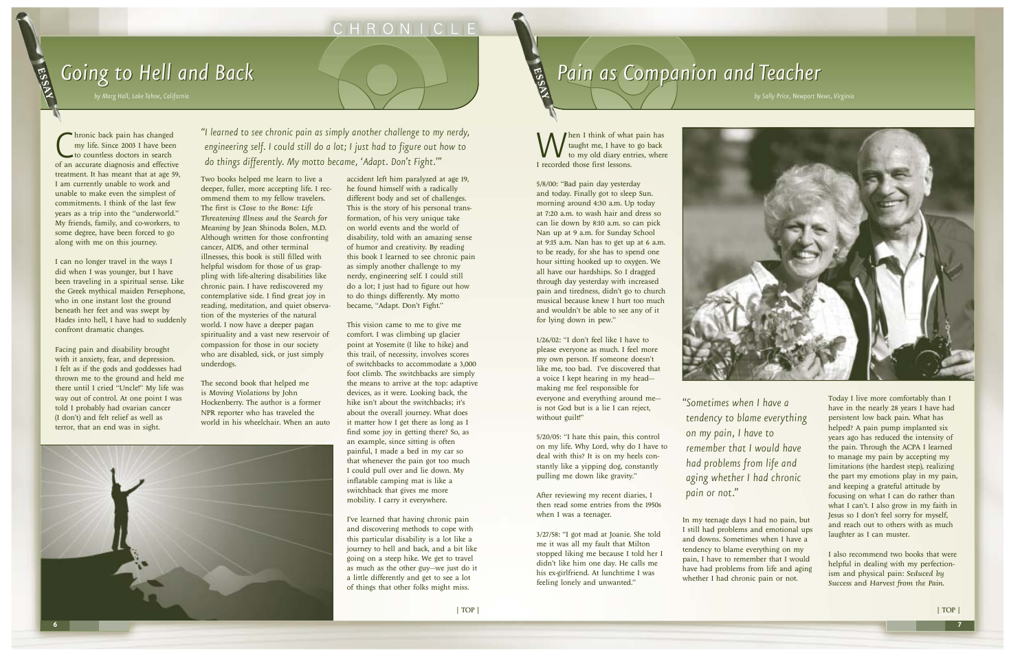Chronic back pain has changed<br>
my life. Since 2003 I have been<br>
to countless doctors in search<br>
of an accurate diagnosis and effective hronic back pain has changed my life. Since 2003 I have been to countless doctors in search treatment. It has meant that at age 59, I am currently unable to work and unable to make even the simplest of commitments. I think of the last few years as a trip into the "underworld." My friends, family, and co-workers, to some degree, have been forced to go along with me on this journey.

<span id="page-3-0"></span>ESSEX

I can no longer travel in the ways I did when I was younger, but I have been traveling in a spiritual sense. Like the Greek mythical maiden Persephone, who in one instant lost the ground beneath her feet and was swept by Hades into hell, I have had to suddenly confront dramatic changes.

Facing pain and disability brought with it anxiety, fear, and depression. I felt as if the gods and goddesses had thrown me to the ground and held me there until I cried "Uncle!" My life was way out of control. At one point I was told I probably had ovarian cancer (I don't) and felt relief as well as terror, that an end was in sight.

Two books helped me learn to live a deeper, fuller, more accepting life. I recommend them to my fellow travelers. The first is *Close to the Bone: Life Threatening Illness and the Search for Meaning* by Jean Shinoda Bolen, M.D. Although written for those confronting cancer, AIDS, and other terminal illnesses, this book is still filled with helpful wisdom for those of us grappling with life-altering disabilities like chronic pain. I have rediscovered my contemplative side. I find great joy in reading, meditation, and quiet observation of the mysteries of the natural world. I now have a deeper pagan spirituality and a vast new reservoir of compassion for those in our society who are disabled, sick, or just simply underdogs.

hen I think of what pain has taught me, I have to go back to my old diary entries, where I recorded those first lessons.

The second book that helped me is *Moving Violations* by John Hockenberry. The author is a former NPR reporter who has traveled the world in his wheelchair. When an auto 1/26/02: "I don't feel like I have to please everyone as much. I feel more my own person. If someone doesn't like me, too bad. I've discovered that a voice I kept hearing in my head making me feel responsible for everyone and everything around me is not God but is a lie I can reject, without guilt!"

accident left him paralyzed at age 19, he found himself with a radically different body and set of challenges. This is the story of his personal transformation, of his very unique take on world events and the world of disability, told with an amazing sense of humor and creativity. By reading this book I learned to see chronic pain as simply another challenge to my nerdy, engineering self. I could still do a lot; I just had to figure out how to do things differently. My motto became, "Adapt. Don't Fight."

> In my teenage days I had no pain, but I still had problems and emotional ups and downs. Sometimes when I have a tendency to blame everything on my pain, I have to remember that I would have had problems from life and aging whether I had chronic pain or not.

This vision came to me to give me comfort. I was climbing up glacier point at Yosemite (I like to hike) and this trail, of necessity, involves scores of switchbacks to accommodate a 3,000 foot climb. The switchbacks are simply the means to arrive at the top: adaptive devices, as it were. Looking back, the hike isn't about the switchbacks; it's about the overall journey. What does it matter how I get there as long as I find some joy in getting there? So, as an example, since sitting is often painful, I made a bed in my car so that whenever the pain got too much I could pull over and lie down. My inflatable camping mat is like a switchback that gives me more mobility. I carry it everywhere.

I've learned that having chronic pain and discovering methods to cope with this particular disability is a lot like a journey to hell and back, and a bit like going on a steep hike. We get to travel as much as the other guy—we just do it a little differently and get to see a lot of things that other folks might miss.



# **Pain as Companion and Teacher** ESSEY

5/8/00: "Bad pain day yesterday and today. Finally got to sleep Sun. morning around 4:30 a.m. Up today at 7:20 a.m. to wash hair and dress so can lie down by 8:10 a.m. so can pick Nan up at 9 a.m. for Sunday School at 9:15 a.m. Nan has to get up at 6 a.m. to be ready, for she has to spend one hour sitting hooked up to oxygen. We all have our hardships. So I dragged through day yesterday with increased pain and tiredness, didn't go to church musical because knew I hurt too much and wouldn't be able to see any of it for lying down in pew."

5/20/05: "I hate this pain, this control on my life. Why Lord, why do I have to deal with this? It is on my heels constantly like a yipping dog, constantly pulling me down like gravity."

After reviewing my recent diaries, I then read some entries from the 1950s when I was a teenager.

3/27/58: "I got mad at Joanie. She told me it was all my fault that Milton stopped liking me because I told her I didn't like him one day. He calls me his ex-girlfriend. At lunchtime I was feeling lonely and unwanted."



Today I live more comfortably than I have in the nearly 28 years I have had persistent low back pain. What has helped? A pain pump implanted six years ago has reduced the intensity of the pain. Through the ACPA I learned to manage my pain by accepting my limitations (the hardest step), realizing the part my emotions play in my pain, and keeping a grateful attitude by focusing on what I can do rather than what I can't. I also grow in my faith in Jesus so I don't feel sorry for myself, and reach out to others with as much laughter as I can muster.

I also recommend two books that were helpful in dealing with my perfectionism and physical pain: *Seduced by Success* and *Harvest from the Pain*.



## CHRONICLE

# *Going to Hell and Back*

*"I learned to see chronic pain as simply another challenge to my nerdy, engineering self. I could still do a lot; I just had to figure out how to do things differently. My motto became, 'Adapt. Don't Fight.'"*

> *"Sometimes when I have a tendency to blame everything on my pain, I have to remember that I would have had problems from life and aging whether I had chronic pain or not."*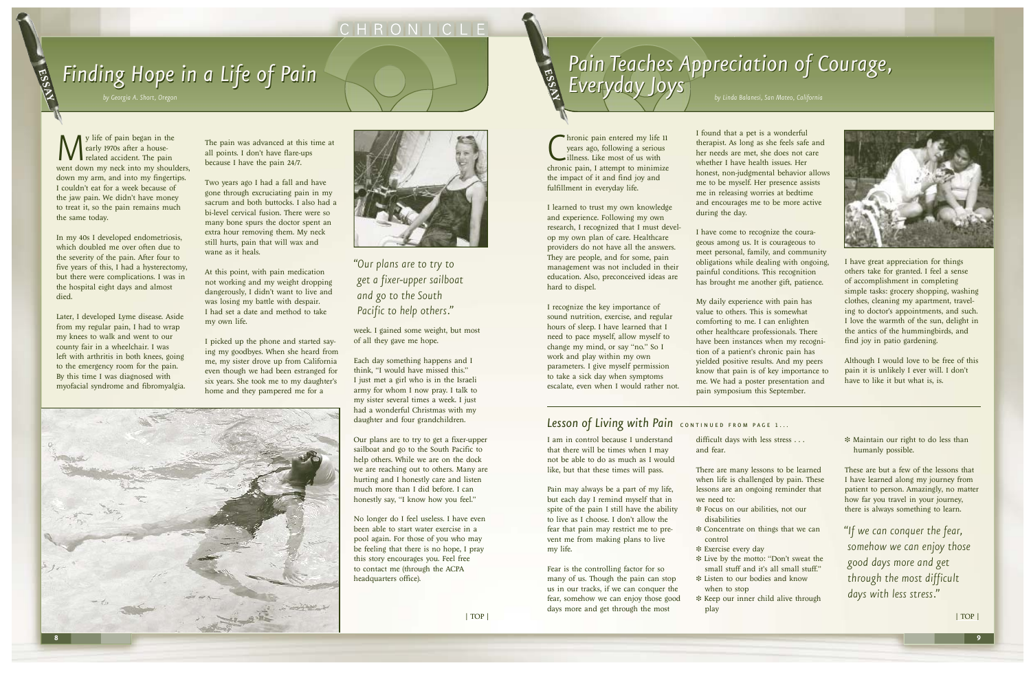We life of pain began in the early 1970s after a house-<br>related accident. The pain went down my neck into my shoul early 1970s after a houserelated accident. The pain went down my neck into my shoulders, down my arm, and into my fingertips. I couldn't eat for a week because of the jaw pain. We didn't have money to treat it, so the pain remains much the same today.

In my 40s I developed endometriosis, which doubled me over often due to the severity of the pain. After four to five years of this, I had a hysterectomy, but there were complications. I was in the hospital eight days and almost died.

Later, I developed Lyme disease. Aside from my regular pain, I had to wrap my knees to walk and went to our county fair in a wheelchair. I was left with arthritis in both knees, going to the emergency room for the pain. By this time I was diagnosed with myofacial syndrome and fibromyalgia. The pain was advanced at this time at all points. I don't have flare-ups because I have the pain 24/7.

Two years ago I had a fall and have gone through excruciating pain in my sacrum and both buttocks. I also had a bi-level cervical fusion. There were so many bone spurs the doctor spent an extra hour removing them. My neck still hurts, pain that will wax and wane as it heals.

At this point, with pain medication not working and my weight dropping dangerously, I didn't want to live and was losing my battle with despair. I had set a date and method to take my own life.

Chronic pain entered my life 11<br>
years ago, following a serious<br>
illness. Like most of us with<br>
chronic pain, I attempt to minimize hronic pain entered my life 11 years ago, following a serious illness. Like most of us with the impact of it and find joy and fulfillment in everyday life.

I picked up the phone and started saying my goodbyes. When she heard from me, my sister drove up from California even though we had been estranged for six years. She took me to my daughter's home and they pampered me for a



week. I gained some weight, but most of all they gave me hope.

Each day something happens and I think, "I would have missed this." I just met a girl who is in the Israeli army for whom I now pray. I talk to my sister several times a week. I just had a wonderful Christmas with my daughter and four grandchildren.

Our plans are to try to get a fixer-upper sailboat and go to the South Pacific to help others. While we are on the dock we are reaching out to others. Many are hurting and I honestly care and listen much more than I did before. I can honestly say, "I know how you feel."

No longer do I feel useless. I have even been able to start water exercise in a pool again. For those of you who may be feeling that there is no hope, I pray this story encourages you. Feel free to contact me (through the ACPA headquarters office).

difficult days with less stress . . . and fear.

I learned to trust my own knowledge and experience. Following my own research, I recognized that I must develop my own plan of care. Healthcare providers do not have all the answers. They are people, and for some, pain management was not included in their education. Also, preconceived ideas are hard to dispel.

I recognize the key importance of sound nutrition, exercise, and regular hours of sleep. I have learned that I need to pace myself, allow myself to change my mind, or say "no." So I work and play within my own parameters. I give myself permission to take a sick day when symptoms escalate, even when I would rather not. I found that a pet is a wonderful therapist. As long as she feels safe and her needs are met, she does not care whether I have health issues. Her honest, non-judgmental behavior allows me to be myself. Her presence assists me in releasing worries at bedtime and encourages me to be more active during the day.

I have come to recognize the courageous among us. It is courageous to meet personal, family, and community obligations while dealing with ongoing, painful conditions. This recognition has brought me another gift, patience.

My daily experience with pain has value to others. This is somewhat comforting to me. I can enlighten other healthcare professionals. There have been instances when my recognition of a patient's chronic pain has yielded positive results. And my peers know that pain is of key importance to me. We had a poster presentation and pain symposium this September.

### Lesson of Living with Pain CONTINUED FROM PAGE 1...

I have great appreciation for things others take for granted. I feel a sense of accomplishment in completing simple tasks: grocery shopping, washing clothes, cleaning my apartment, traveling to doctor's appointments, and such. I love the warmth of the sun, delight in the antics of the hummingbirds, and find joy in patio gardening.

Although I would love to be free of this pain it is unlikely I ever will. I don't have to like it but what is, is.

I am in control because I understand that there will be times when I may not be able to do as much as I would like, but that these times will pass.

Pain may always be a part of my life, but each day I remind myself that in spite of the pain I still have the ability to live as I choose. I don't allow the fear that pain may restrict me to prevent me from making plans to live my life.

Fear is the controlling factor for so many of us. Though the pain can stop us in our tracks, if we can conquer the fear, somehow we can enjoy those good days more and get through the most

There are many lessons to be learned when life is challenged by pain. These lessons are an ongoing reminder that we need to:

❉ Focus on our abilities, not our

❉ Concentrate on things that we can

❉ Live by the motto: "Don't sweat the small stuff and it's all small stuff."

- disabilities
- control
- ❉ Exercise every day
- 
- ❉ Listen to our bodies and know when to stop
- ❉ Keep our inner child alive through play





❉ Maintain our right to do less than humanly possible.

These are but a few of the lessons that I have learned along my journey from patient to person. Amazingly, no matter how far you travel in your journey, there is always something to learn.

# CHRONICLE

# *Finding Finding Hope in a Life of Pain*

*by Georgia A. Short, Oregon*

<span id="page-4-0"></span>ESSEX

*"If we can conquer the fear, somehow we can enjoy those good days more and get through the most difficult days with less stress."*

### *"Our plans are to try to get a fixer-upper sailboat and go to the South Pacific to help others."*



# Pain Teaches Appreciation of Courage,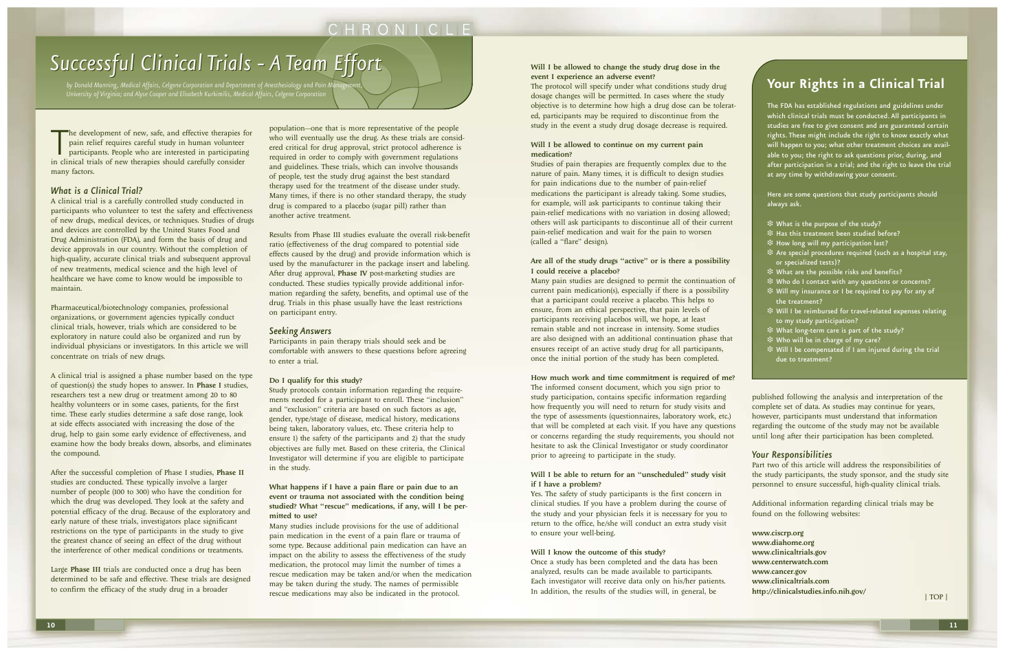The development of new, safe, and effective therapies f<br>pain relief requires careful study in human volunteer<br>participants. People who are interested in participatir<br>in clinical trials of new therapies should carefully con The development of new, safe, and effective therapies for pain relief requires careful study in human volunteer participants. People who are interested in participating many factors.

#### *What is a Clinical Trial?*

A clinical trial is a carefully controlled study conducted in participants who volunteer to test the safety and effectiveness of new drugs, medical devices, or techniques. Studies of drugs and devices are controlled by the United States Food and Drug Administration (FDA), and form the basis of drug and device approvals in our country. Without the completion of high-quality, accurate clinical trials and subsequent approval of new treatments, medical science and the high level of healthcare we have come to know would be impossible to maintain.

Pharmaceutical/biotechnology companies, professional organizations, or government agencies typically conduct clinical trials, however, trials which are considered to be exploratory in nature could also be organized and run by individual physicians or investigators. In this article we will concentrate on trials of new drugs.

A clinical trial is assigned a phase number based on the type of question(s) the study hopes to answer. In Phase I studies, researchers test a new drug or treatment among 20 to 80 healthy volunteers or in some cases, patients, for the first time. These early studies determine a safe dose range, look at side effects associated with increasing the dose of the drug, help to gain some early evidence of effectiveness, and examine how the body breaks down, absorbs, and eliminates the compound.

After the successful completion of Phase I studies, Phase II studies are conducted. These typically involve a larger number of people (100 to 300) who have the condition for which the drug was developed. They look at the safety and potential efficacy of the drug. Because of the exploratory and early nature of these trials, investigators place significant restrictions on the type of participants in the study to give the greatest chance of seeing an effect of the drug without the interference of other medical conditions or treatments.

Large Phase III trials are conducted once a drug has been determined to be safe and effective. These trials are designed to confirm the efficacy of the study drug in a broader

#### Will I be allowed to continue on my current pain medication?

population—one that is more representative of the people who will eventually use the drug. As these trials are considered critical for drug approval, strict protocol adherence is required in order to comply with government regulations and guidelines. These trials, which can involve thousands of people, test the study drug against the best standard therapy used for the treatment of the disease under study. Many times, if there is no other standard therapy, the study drug is compared to a placebo (sugar pill) rather than another active treatment.

Results from Phase III studies evaluate the overall risk-benefit ratio (effectiveness of the drug compared to potential side effects caused by the drug) and provide information which is used by the manufacturer in the package insert and labeling. After drug approval, Phase IV post-marketing studies are conducted. These studies typically provide additional information regarding the safety, benefits, and optimal use of the drug. Trials in this phase usually have the least restrictions on participant entry.

#### *Seeking Answers*

#### Will I be able to return for an "unscheduled" study visit if I have a problem?

Participants in pain therapy trials should seek and be comfortable with answers to these questions before agreeing to enter a trial.

#### Do I qualify for this study?

Study protocols contain information regarding the requirements needed for a participant to enroll. These "inclusion" and "exclusion" criteria are based on such factors as age, gender, type/stage of disease, medical history, medications being taken, laboratory values, etc. These criteria help to ensure 1) the safety of the participants and 2) that the study objectives are fully met. Based on these criteria, the Clinical Investigator will determine if you are eligible to participate in the study.

#### What happens if I have a pain flare or pain due to an event or trauma not associated with the condition being studied? What "rescue" medications, if any, will I be permitted to use?

Many studies include provisions for the use of additional pain medication in the event of a pain flare or trauma of some type. Because additional pain medication can have an impact on the ability to assess the effectiveness of the study medication, the protocol may limit the number of times a rescue medication may be taken and/or when the medication may be taken during the study. The names of permissible rescue medications may also be indicated in the protocol.

#### Will I be allowed to change the study drug dose in the event I experience an adverse event?

The protocol will specify under what conditions study drug dosage changes will be permitted. In cases where the study objective is to determine how high a drug dose can be tolerated, participants may be required to discontinue from the study in the event a study drug dosage decrease is required.

Studies of pain therapies are frequently complex due to the nature of pain. Many times, it is difficult to design studies for pain indications due to the number of pain-relief medications the participant is already taking. Some studies, for example, will ask participants to continue taking their pain-relief medications with no variation in dosing allowed; others will ask participants to discontinue all of their current pain-relief medication and wait for the pain to worsen (called a "flare" design).

#### Are all of the study drugs "active" or is there a possibility I could receive a placebo?

Many pain studies are designed to permit the continuation of current pain medication(s), especially if there is a possibility that a participant could receive a placebo. This helps to ensure, from an ethical perspective, that pain levels of participants receiving placebos will, we hope, at least remain stable and not increase in intensity. Some studies are also designed with an additional continuation phase that ensures receipt of an active study drug for all participants, once the initial portion of the study has been completed.

#### How much work and time commitment is required of me?

The informed consent document, which you sign prior to study participation, contains specific information regarding how frequently you will need to return for study visits and the type of assessments (questionnaires, laboratory work, etc.) that will be completed at each visit. If you have any questions or concerns regarding the study requirements, you should not hesitate to ask the Clinical Investigator or study coordinator prior to agreeing to participate in the study.

Yes. The safety of study participants is the first concern in clinical studies. If you have a problem during the course of the study and your physician feels it is necessary for you to return to the office, he/she will conduct an extra study visit to ensure your well-being.

#### Will I know the outcome of this study?

Once a study has been completed and the data has been analyzed, results can be made available to participants. Each investigator will receive data only on his/her patients. In addition, the results of the studies will, in general, be

published following the analysis and interpretation of the complete set of data. As studies may continue for years, however, participants must understand that information regarding the outcome of the study may not be available until long after their participation has been completed.

#### *Your Responsibilities*

Part two of this article will address the responsibilities of the study participants, the study sponsor, and the study site personnel to ensure successful, high-quality clinical trials.

Additional information regarding clinical trials may be found on the following websites:

www.ciscrp.org www.diahome.org www.clinicaltrials.gov www.centerwatch.com www.cancer.gov www.clinicaltrials.com http://clinicalstudies.info.nih.gov/

## CHRONICLE

# <span id="page-5-0"></span>*Successful Successful Clinical Clinical Trials - A Team Effort*

*by Donald Manning, Medical Affairs, Celgene Corporation and Department of Anesthesiology and Pain Management, University of Virginia; and Alyse Cooper and Elisabeth Kurkimilis, Medical Affairs, Celgene Corporation*

## **Your Rights in a Clinical Trial**

The FDA has established regulations and guidelines under which clinical trials must be conducted. All participants in studies are free to give consent and are guaranteed certain rights. These might include the right to know exactly what will happen to you; what other treatment choices are available to you; the right to ask questions prior, during, and after participation in a trial; and the right to leave the trial at any time by withdrawing your consent.

Here are some questions that study participants should always ask.

- ❉ What is the purpose of the study?
- ❉ Has this treatment been studied before?
- ❉ How long will my participation last?
- ❉ Are special procedures required (such as a hospital stay, or specialized tests)?
- ❉ What are the possible risks and benefits?
- ❉ Who do I contact with any questions or concerns?
- ❉ Will my insurance or I be required to pay for any of the treatment?
- ❉ Will I be reimbursed for travel-related expenses relating to my study participation?
- ❉ What long-term care is part of the study?
- ❉ Who will be in charge of my care?
- ❉ Will I be compensated if I am injured during the trial due to treatment?

[| TOP |](#page-0-0)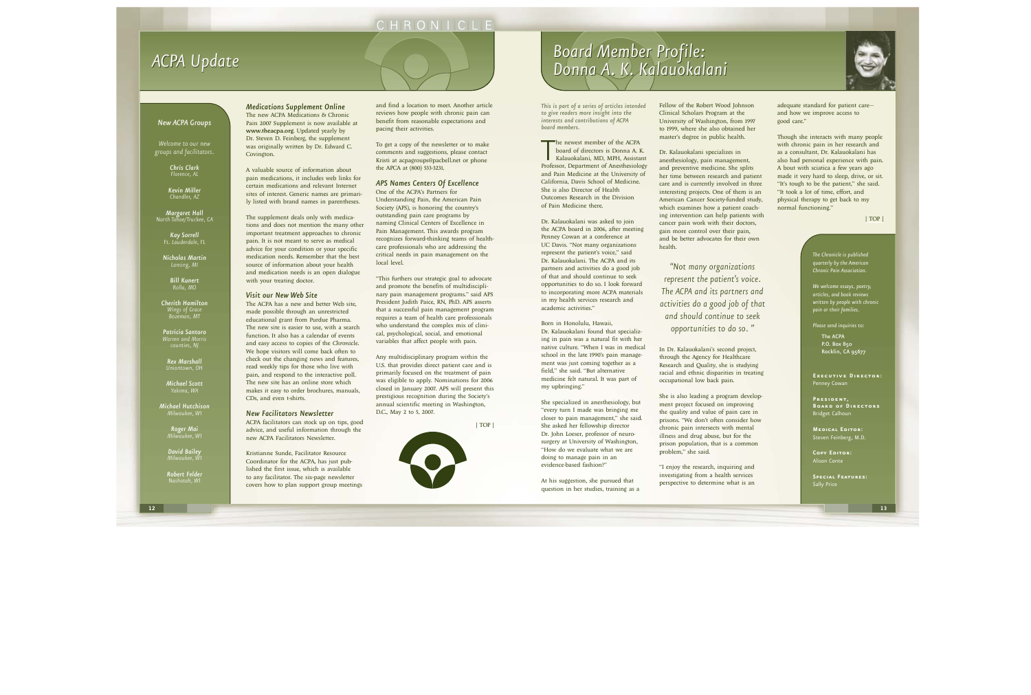*This is part of a series of articles intended to give readers more insight into the interests and contributions of ACPA board members.*

The newest member of the ACPA<br>board of directors is Donna A. K.<br>Kalauokalani, MD, MPH, Assistant<br>Professor, Department of Anesthesiology he newest member of the ACPA board of directors is Donna A. K. Kalauokalani, MD, MPH, Assistant and Pain Medicine at the University of California, Davis School of Medicine. She is also Director of Health Outcomes Research in the Division of Pain Medicine there.

Dr. Kalauokalani was asked to join the ACPA board in 2006, after meeting Penney Cowan at a conference at UC Davis. "Not many organizations represent the patient's voice," said Dr. Kalauokalani. The ACPA and its partners and activities do a good job of that and should continue to seek opportunities to do so. I look forward to incorporating more ACPA materials in my health services research and academic activities."

Born in Honolulu, Hawaii, Dr. Kalauokalani found that specializing in pain was a natural fit with her native culture. "When I was in medical school in the late 1990's pain management was just coming together as a field," she said. "But alternative medicine felt natural. It was part of my upbringing."

She specialized in anesthesiology, but "every turn I made was bringing me closer to pain management," she said. She asked her fellowship director Dr. John Loeser, professor of neurosurgery at University of Washington, "How do we evaluate what we are doing to manage pain in an evidence-based fashion?"

At his suggestion, she pursued that question in her studies, training as a



Clinical Scholars Program at the master's degree in public health.

Dr. Kalauokalani specializes in anesthesiology, pain management, and preventive medicine. She splits her time between research and patient care and is currently involved in three interesting projects. One of them is an American Cancer Society-funded study, which examines how a patient coaching intervention can help patients with cancer pain work with their doctors, gain more control over their pain, and be better advocates for their own health.

In Dr. Kalauokalani's second project, through the Agency for Healthcare occupational low back pain.

Research and Quality, she is studying racial and ethnic disparities in treating

She is also leading a program development project focused on improving the quality and value of pain care in prisons. "We don't often consider how chronic pain intersects with mental illness and drug abuse, but for the prison population, that is a common problem," she said.

"I enjoy the research, inquiring and investigating from a health services perspective to determine what is an



Though she interacts with many people with chronic pain in her research and as a consultant, Dr. Kalauokalani has also had personal experience with pain. A bout with sciatica a few years ago made it very hard to sleep, drive, or sit. "It's tough to be the patient," she said. "It took a lot of time, effort, and physical therapy to get back to my normal functioning."

*Medications Supplement Online* The new ACPA Medications & Chronic Pain 2007 Supplement is now available at www.theacpa.org. Updated yearly by Dr. Steven D. Feinberg, the supplement was originally written by Dr. Edward C. Covington.

A valuable source of information about pain medications, it includes web links for certain medications and relevant Internet sites of interest. Generic names are primarily listed with brand names in parentheses.

> The ACPA P.O. Box 850 Rocklin, CA 95677

The supplement deals only with medications and does not mention the many other important treatment approaches to chronic pain. It is not meant to serve as medical advice for your condition or your specific medication needs. Remember that the best source of information about your health and medication needs is an open dialogue with your treating doctor.

#### *Visit our New Web Site*

The ACPA has a new and better Web site, made possible through an unrestricted educational grant from Purdue Pharma. The new site is easier to use, with a search function. It also has a calendar of events and easy access to copies of the *Chronicle*. We hope visitors will come back often to check out the changing news and features, read weekly tips for those who live with pain, and respond to the interactive poll. The new site has an online store which makes it easy to order brochures, manuals, CDs, and even t-shirts.

#### *New Facilitators Newsletter*

ACPA facilitators can stock up on tips, good advice, and useful information through the new ACPA Facilitators Newsletter.

Kristianne Sunde, Facilitator Resource Coordinator for the ACPA, has just published the first issue, which is available to any facilitator. The six-page newsletter covers how to plan support group meetings and find a location to meet. Another article reviews how people with chronic pain can benefit from reasonable expectations and pacing their activities.

To get a copy of the newsletter or to make comments and suggestions, please contact Kristi at acpagroups@pacbell.net or phone the APCA at (800) 533-3231.

#### *APS Names Centers Of Excellence*

One of the ACPA's Partners for Understanding Pain, the American Pain Society (APS), is honoring the country's outstanding pain care programs by naming Clinical Centers of Excellence in Pain Management. This awards program recognizes forward-thinking teams of healthcare professionals who are addressing the critical needs in pain management on the local level.

"This furthers our strategic goal to advocate and promote the benefits of multidisciplinary pain management programs." said APS President Judith Paice, RN, PhD. APS asserts that a successful pain management program requires a team of health care professionals who understand the complex mix of clinical, psychological, social, and emotional variables that affect people with pain.

Any multidisciplinary program within the U.S. that provides direct patient care and is primarily focused on the treatment of pain was eligible to apply. Nominations for 2006 closed in January 2007. APS will present this prestigious recognition during the Society's annual scientific meeting in Washington, D.C., May 2 to 5, 2007.

## CHRONICLE

# <span id="page-6-0"></span>*ACPA Update*

# *Board Member Profile: Donna A. K. Kalauokalani Board Member Profile: Donna A. K. Kalauokalani*

*Welcome to our new groups and facilitators.*

> *Chris Clark Florence, AL*

*Kevin Miller Chandler, AZ*

*Margaret Hall North Tahoe/Truckee, CA*

> *Kay Sorrell Ft. Lauderdale, FL*

*Nicholas Martin Lansing, MI*

> *Bill Kunert Rolla, MO*

*Cherith Hamilton Wings of Grace Bozeman, MT*

*Patricia Santoro Warren and Morris* 

*Rex Marshall Uniontown, OH*

*Michael Scott Yakima, WA*

*Michael Hutchison Milwaukee, WI*

> *Roger Mai Milwaukee, WI*

*David Bailey Milwaukee, WI*

*Robert Felder* 

#### *New ACPA Groups*

*The Chronicle is published quarterly by the American Chronic Pain Association.*

*We welcome essays, poetry, articles, and book reviews written by people with chronic pain or their families.*

*Please send inquiries to:*

**Executive Director:** Penney Cowan

**President, Board of Directors** Bridget Calhoun

**Medical Editor:** Steven Feinberg, M.D.

**Copy Editor:** Alison Conte

**Special Features:** Sally Price

*"Not many organizations represent the patient's voice. The ACPA and its partners and activities do a good job of that and should continue to seek opportunities to do so. "*



[| TOP |](#page-0-0)